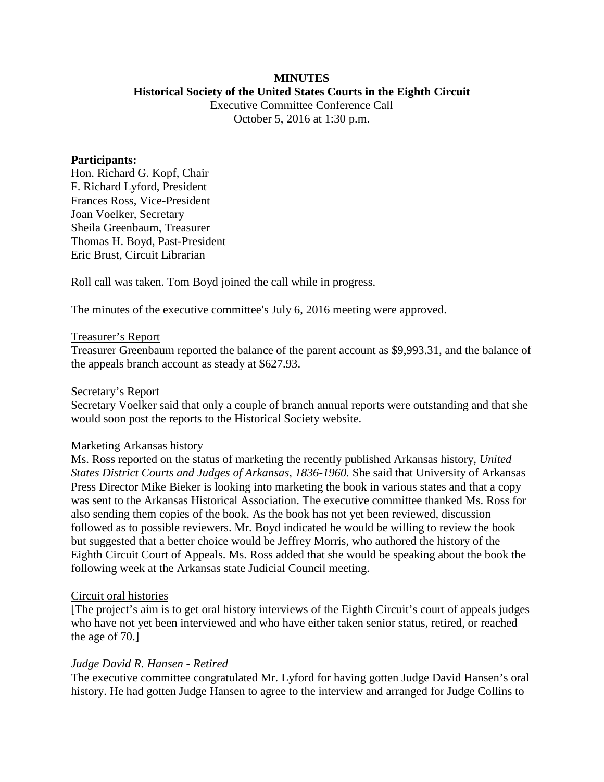# **MINUTES**

### **Historical Society of the United States Courts in the Eighth Circuit**

Executive Committee Conference Call October 5, 2016 at 1:30 p.m.

### **Participants:**

Hon. Richard G. Kopf, Chair F. Richard Lyford, President Frances Ross, Vice-President Joan Voelker, Secretary Sheila Greenbaum, Treasurer Thomas H. Boyd, Past-President Eric Brust, Circuit Librarian

Roll call was taken. Tom Boyd joined the call while in progress.

The minutes of the executive committee's July 6, 2016 meeting were approved.

# Treasurer's Report

Treasurer Greenbaum reported the balance of the parent account as \$9,993.31, and the balance of the appeals branch account as steady at \$627.93.

### Secretary's Report

Secretary Voelker said that only a couple of branch annual reports were outstanding and that she would soon post the reports to the Historical Society website.

#### Marketing Arkansas history

Ms. Ross reported on the status of marketing the recently published Arkansas history, *United States District Courts and Judges of Arkansas, 1836-1960.* She said that University of Arkansas Press Director Mike Bieker is looking into marketing the book in various states and that a copy was sent to the Arkansas Historical Association. The executive committee thanked Ms. Ross for also sending them copies of the book. As the book has not yet been reviewed, discussion followed as to possible reviewers. Mr. Boyd indicated he would be willing to review the book but suggested that a better choice would be Jeffrey Morris, who authored the history of the Eighth Circuit Court of Appeals. Ms. Ross added that she would be speaking about the book the following week at the Arkansas state Judicial Council meeting.

# Circuit oral histories

[The project's aim is to get oral history interviews of the Eighth Circuit's court of appeals judges who have not yet been interviewed and who have either taken senior status, retired, or reached the age of 70.]

# *Judge David R. Hansen - Retired*

The executive committee congratulated Mr. Lyford for having gotten Judge David Hansen's oral history. He had gotten Judge Hansen to agree to the interview and arranged for Judge Collins to